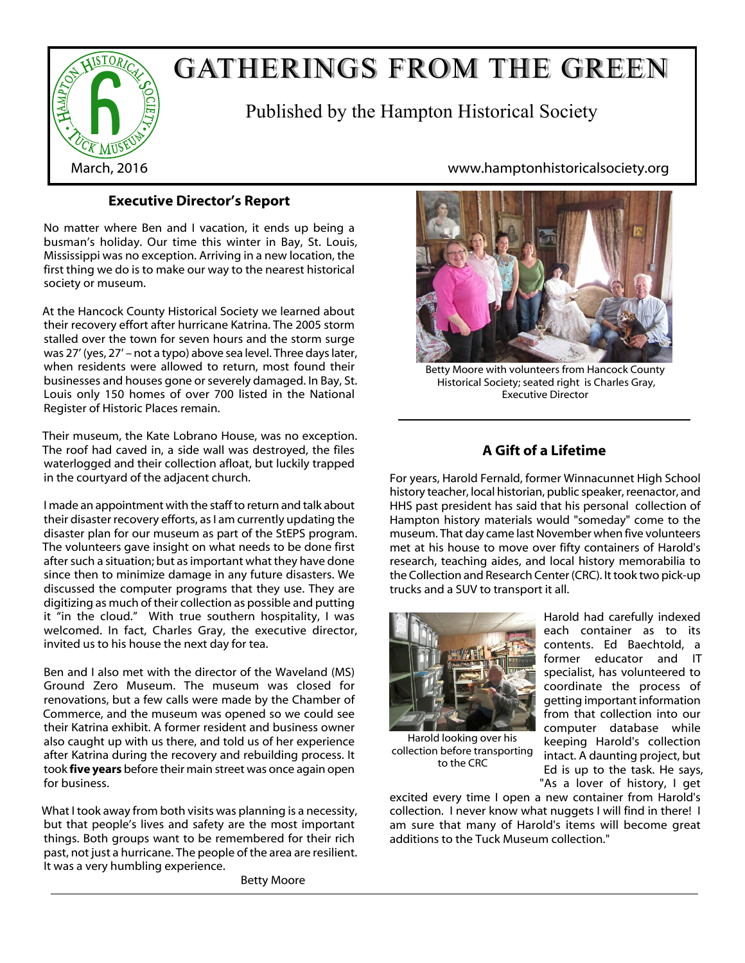

# GATHERINGS FROM THE GREEN

Published by the Hampton Historical Society

### **Executive Director's Report**

No matter where Ben and I vacation, it ends up being a busman's holiday. Our time this winter in Bay, St. Louis, Mississippi was no exception. Arriving in a new location, the first thing we do is to make our way to the nearest historical society or museum.

At the Hancock County Historical Society we learned about their recovery effort after hurricane Katrina. The 2005 storm stalled over the town for seven hours and the storm surge was 27' (yes, 27' – not a typo) above sea level. Three days later, when residents were allowed to return, most found their businesses and houses gone or severely damaged. In Bay, St. Louis only 150 homes of over 700 listed in the National Register of Historic Places remain.

Their museum, the Kate Lobrano House, was no exception. The roof had caved in, a side wall was destroyed, the files waterlogged and their collection afloat, but luckily trapped in the courtyard of the adjacent church.

I made an appointment with the staff to return and talk about their disaster recovery efforts, as I am currently updating the disaster plan for our museum as part of the StEPS program. The volunteers gave insight on what needs to be done first after such a situation; but as important what they have done since then to minimize damage in any future disasters. We discussed the computer programs that they use. They are digitizing as much of their collection as possible and putting it "in the cloud." With true southern hospitality, I was welcomed. In fact, Charles Gray, the executive director, invited us to his house the next day for tea.

Ben and I also met with the director of the Waveland (MS) Ground Zero Museum. The museum was closed for renovations, but a few calls were made by the Chamber of Commerce, and the museum was opened so we could see their Katrina exhibit. A former resident and business owner also caught up with us there, and told us of her experience after Katrina during the recovery and rebuilding process. It took **five years** before their main street was once again open for business.

What I took away from both visits was planning is a necessity, but that people's lives and safety are the most important things. Both groups want to be remembered for their rich past, not just a hurricane. The people of the area are resilient. It was a very humbling experience.

Betty Moore

March, 2016 www.hamptonhistoricalsociety.org



Betty Moore with volunteers from Hancock County Historical Society; seated right is Charles Gray, Executive Director

## **A Gift of a Lifetime**

For years, Harold Fernald, former Winnacunnet High School history teacher, local historian, public speaker, reenactor, and HHS past president has said that his personal collection of Hampton history materials would "someday" come to the museum. That day came last November when five volunteers met at his house to move over fifty containers of Harold's research, teaching aides, and local history memorabilia to the Collection and Research Center (CRC). It took two pick-up trucks and a SUV to transport it all.



Harold looking over his

to the CRC

former educator and IT specialist, has volunteered to coordinate the process of getting important information from that collection into our computer database while keeping Harold's collection intact. A daunting project, but Ed is up to the task. He says, "As a lover of history, I get collection before transporting

Harold had carefully indexed each container as to its contents. Ed Baechtold, a

excited every time I open a new container from Harold's collection. I never know what nuggets I will find in there! I am sure that many of Harold's items will become great additions to the Tuck Museum collection."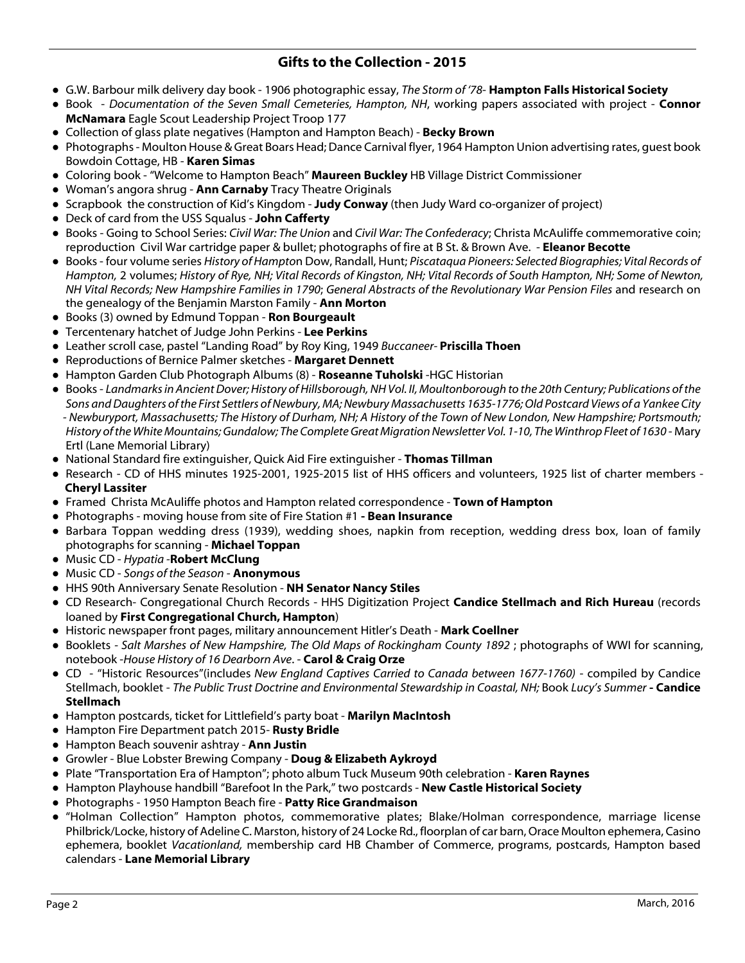### **Gifts to the Collection - 2015**

- **●** G.W. Barbour milk delivery day book 1906 photographic essay, *The Storm of '78* **Hampton Falls Historical Society**
- Book *Documentation of the Seven Small Cemeteries, Hampton, NH*, working papers associated with project **Connor McNamara** Eagle Scout Leadership Project Troop 177
- **●** Collection of glass plate negatives (Hampton and Hampton Beach) **Becky Brown**
- **●** Photographs Moulton House & Great Boars Head; Dance Carnival flyer, 1964 Hampton Union advertising rates, guest book Bowdoin Cottage, HB - **Karen Simas**
- Coloring book "Welcome to Hampton Beach" **Maureen Buckley** HB Village District Commissioner
- Woman's angora shrug **Ann Carnaby** Tracy Theatre Originals
- Scrapbook the construction of Kid's Kingdom **Judy Conway** (then Judy Ward co-organizer of project)
- **●** Deck of card from the USS Squalus **John Cafferty**
- **●** Books Going to School Series: *Civil War: The Union* and *Civil War: The Confederacy*; Christa McAuliffe commemorative coin; reproduction Civil War cartridge paper & bullet; photographs of fire at B St. & Brown Ave. - **Eleanor Becotte**
- **●** Books four volume series *History of Hampto*n Dow, Randall, Hunt; *Piscataqua Pioneers: Selected Biographies; Vital Records of Hampton,* 2 volumes; *History of Rye, NH; Vital Records of Kingston, NH; Vital Records of South Hampton, NH; Some of Newton, NH Vital Records; New Hampshire Families in 1790*; *General Abstracts of the Revolutionary War Pension Files* and research on the genealogy of the Benjamin Marston Family - **Ann Morton**
- **●** Books (3) owned by Edmund Toppan **Ron Bourgeault**
- **●** Tercentenary hatchet of Judge John Perkins **Lee Perkins**
- **●** Leather scroll case, pastel "Landing Road" by Roy King, 1949 *Buccaneer-* **Priscilla Thoen**
- **●** Reproductions of Bernice Palmer sketches **Margaret Dennett**
- Hampton Garden Club Photograph Albums (8) **Roseanne Tuholski** -HGC Historian
- Books *Landmarks in Ancient Dover; History of Hillsborough, NH Vol. II, Moultonborough to the 20th Century; Publications of the Sons and Daughters of the First Settlers of Newbury, MA; Newbury Massachusetts 1635-1776; Old Postcard Views of a Yankee City - Newburyport, Massachusetts; The History of Durham, NH; A History of the Town of New London, New Hampshire; Portsmouth; History of the White Mountains; Gundalow; The Complete Great Migration Newsletter Vol. 1-10, The Winthrop Fleet of 1630* - Mary Ertl (Lane Memorial Library)
- **●** National Standard fire extinguisher, Quick Aid Fire extinguisher **Thomas Tillman**
- **●** Research CD of HHS minutes 1925-2001, 1925-2015 list of HHS officers and volunteers, 1925 list of charter members **Cheryl Lassiter**
- **●** Framed Christa McAuliffe photos and Hampton related correspondence **Town of Hampton**
- **●** Photographs moving house from site of Fire Station #1  **Bean Insurance**
- **●** Barbara Toppan wedding dress (1939), wedding shoes, napkin from reception, wedding dress box, loan of family photographs for scanning - **Michael Toppan**
- **●** Music CD *Hypatia -***Robert McClung**
- **●** Music CD *Songs of the Season* **Anonymous**
- **●** HHS 90th Anniversary Senate Resolution **NH Senator Nancy Stiles**
- CD Research- Congregational Church Records HHS Digitization Project **Candice Stellmach and Rich Hureau** (records loaned by **First Congregational Church, Hampton**)
- **●** Historic newspaper front pages, military announcement Hitler's Death **Mark Coellner**
- **●** Booklets  *Salt Marshes of New Hampshire, The Old Maps of Rockingham County 1892* ; photographs of WWI for scanning, notebook -*House History of 16 Dearborn Ave*. - **Carol & Craig Orze**
- **●** CD "Historic Resources"(includes *New England Captives Carried to Canada between 1677-1760)* compiled by Candice Stellmach, booklet - *The Public Trust Doctrine and Environmental Stewardship in Coastal, NH;* Book *Lucy's Summer* **- Candice Stellmach**
- **●** Hampton postcards, ticket for Littlefield's party boat **Marilyn MacIntosh**
- **●** Hampton Fire Department patch 2015- **Rusty Bridle**
- **●** Hampton Beach souvenir ashtray **Ann Justin**
- **●** Growler Blue Lobster Brewing Company **Doug & Elizabeth Aykroyd**
- **●** Plate "Transportation Era of Hampton"; photo album Tuck Museum 90th celebration - **Karen Raynes**
- **●** Hampton Playhouse handbill "Barefoot In the Park," two postcards **New Castle Historical Society**
- **●** Photographs 1950 Hampton Beach fire **Patty Rice Grandmaison**
- **●** "Holman Collection" Hampton photos, commemorative plates; Blake/Holman correspondence, marriage license Philbrick/Locke, history of Adeline C. Marston, history of 24 Locke Rd., floorplan of car barn, Orace Moulton ephemera, Casino ephemera, booklet *Vacationland,* membership card HB Chamber of Commerce, programs, postcards, Hampton based calendars - **Lane Memorial Library**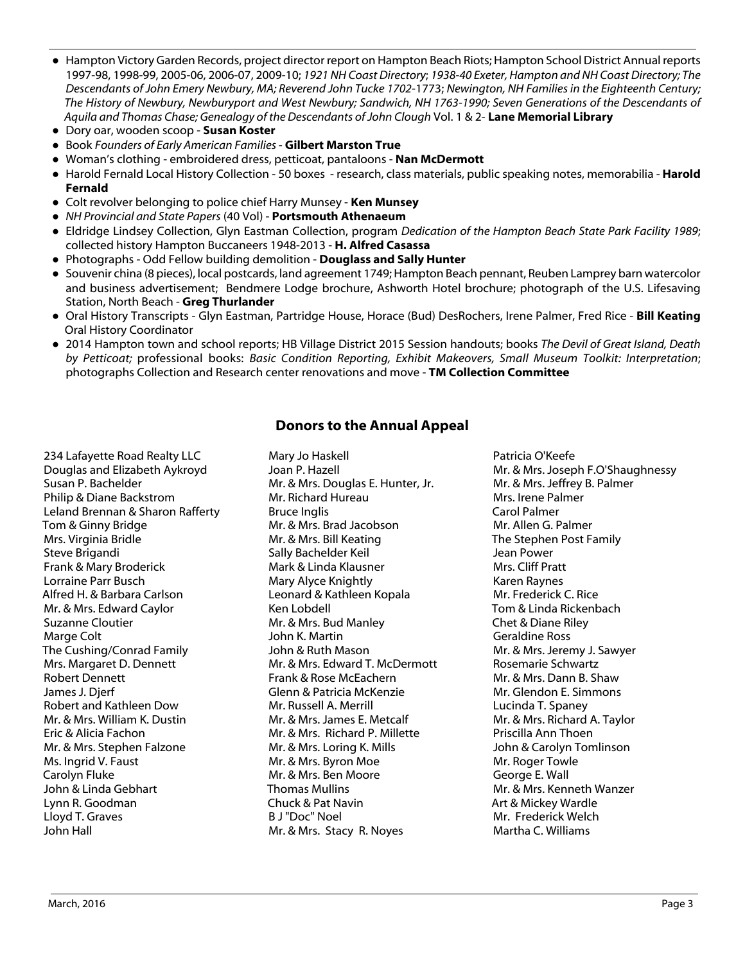- **●** Hampton Victory Garden Records, project director report on Hampton Beach Riots; Hampton School District Annual reports 1997-98, 1998-99, 2005-06, 2006-07, 2009-10; *1921 NH Coast Directory*; *1938-40 Exeter, Hampton and NH Coast Directory; The Descendants of John Emery Newbury, MA; Reverend John Tucke 1702*-1773; *Newington, NH Families in the Eighteenth Century; The History of Newbury, Newburyport and West Newbury; Sandwich, NH 1763-1990; Seven Generations of the Descendants of Aquila and Thomas Chase; Genealogy of the Descendants of John Clough* Vol. 1 & 2- **Lane Memorial Library**
- **●** Dory oar, wooden scoop **Susan Koster**
- **●** Book *Founders of Early American Families*  **Gilbert Marston True**
- **●** Woman's clothing embroidered dress, petticoat, pantaloons **Nan McDermott**
- **●** Harold Fernald Local History Collection 50 boxes research, class materials, public speaking notes, memorabilia **Harold Fernald**
- **●** Colt revolver belonging to police chief Harry Munsey **Ken Munsey**
- **●** *NH Provincial and State Papers* (40 Vol) **Portsmouth Athenaeum**
- **●** Eldridge Lindsey Collection, Glyn Eastman Collection, program *Dedication of the Hampton Beach State Park Facility 1989*; collected history Hampton Buccaneers 1948-2013 - **H. Alfred Casassa**
- **●** Photographs Odd Fellow building demolition **Douglass and Sally Hunter**
- **●** Souvenir china (8 pieces), local postcards, land agreement 1749; Hampton Beach pennant, Reuben Lamprey barn watercolor and business advertisement; Bendmere Lodge brochure, Ashworth Hotel brochure; photograph of the U.S. Lifesaving Station, North Beach - **Greg Thurlander**
- Oral History Transcripts Glyn Eastman, Partridge House, Horace (Bud) DesRochers, Irene Palmer, Fred Rice **Bill Keating** Oral History Coordinator
- **●** 2014 Hampton town and school reports; HB Village District 2015 Session handouts; books *The Devil of Great Island, Death by Petticoat;* professional books: *Basic Condition Reporting, Exhibit Makeovers, Small Museum Toolkit: Interpretation*; photographs Collection and Research center renovations and move - **TM Collection Committee**

#### **Donors to the Annual Appeal**

234 Lafayette Road Realty LLC Douglas and Elizabeth Aykroyd Susan P. Bachelder Philip & Diane Backstrom Leland Brennan & Sharon Rafferty Tom & Ginny Bridge Mrs. Virginia Bridle Steve Brigandi Frank & Mary Broderick Lorraine Parr Busch Alfred H. & Barbara Carlson Mr. & Mrs. Edward Caylor Suzanne Cloutier Marge Colt The Cushing/Conrad Family Mrs. Margaret D. Dennett Robert Dennett James J. Djerf Robert and Kathleen Dow Mr. & Mrs. William K. Dustin Eric & Alicia Fachon Mr. & Mrs. Stephen Falzone Ms. Ingrid V. Faust Carolyn Fluke John & Linda Gebhart Lynn R. Goodman Lloyd T. Graves John Hall

Mary Jo Haskell Joan P. Hazell Mr. & Mrs. Douglas E. Hunter, Jr. Mr. Richard Hureau Bruce Inglis Mr. & Mrs. Brad Jacobson Mr. & Mrs. Bill Keating Sally Bachelder Keil Mark & Linda Klausner Mary Alyce Knightly Leonard & Kathleen Kopala Ken Lobdell Mr. & Mrs. Bud Manley John K. Martin John & Ruth Mason Mr. & Mrs. Edward T. McDermott Frank & Rose McEachern Glenn & Patricia McKenzie Mr. Russell A. Merrill Mr. & Mrs. James E. Metcalf Mr. & Mrs. Richard P. Millette Mr. & Mrs. Loring K. Mills Mr. & Mrs. Byron Moe Mr. & Mrs. Ben Moore Thomas Mullins Chuck & Pat Navin B J "Doc" Noel Mr. & Mrs. Stacy R. Noyes

Patricia O'Keefe Mr. & Mrs. Joseph F.O'Shaughnessy Mr. & Mrs. Jeffrey B. Palmer Mrs. Irene Palmer Carol Palmer Mr. Allen G. Palmer The Stephen Post Family Jean Power Mrs. Cliff Pratt Karen Raynes Mr. Frederick C. Rice Tom & Linda Rickenbach Chet & Diane Riley Geraldine Ross Mr. & Mrs. Jeremy J. Sawyer Rosemarie Schwartz Mr. & Mrs. Dann B. Shaw Mr. Glendon E. Simmons Lucinda T. Spaney Mr. & Mrs. Richard A. Taylor Priscilla Ann Thoen John & Carolyn Tomlinson Mr. Roger Towle George E. Wall Mr. & Mrs. Kenneth Wanzer Art & Mickey Wardle Mr. Frederick Welch Martha C. Williams